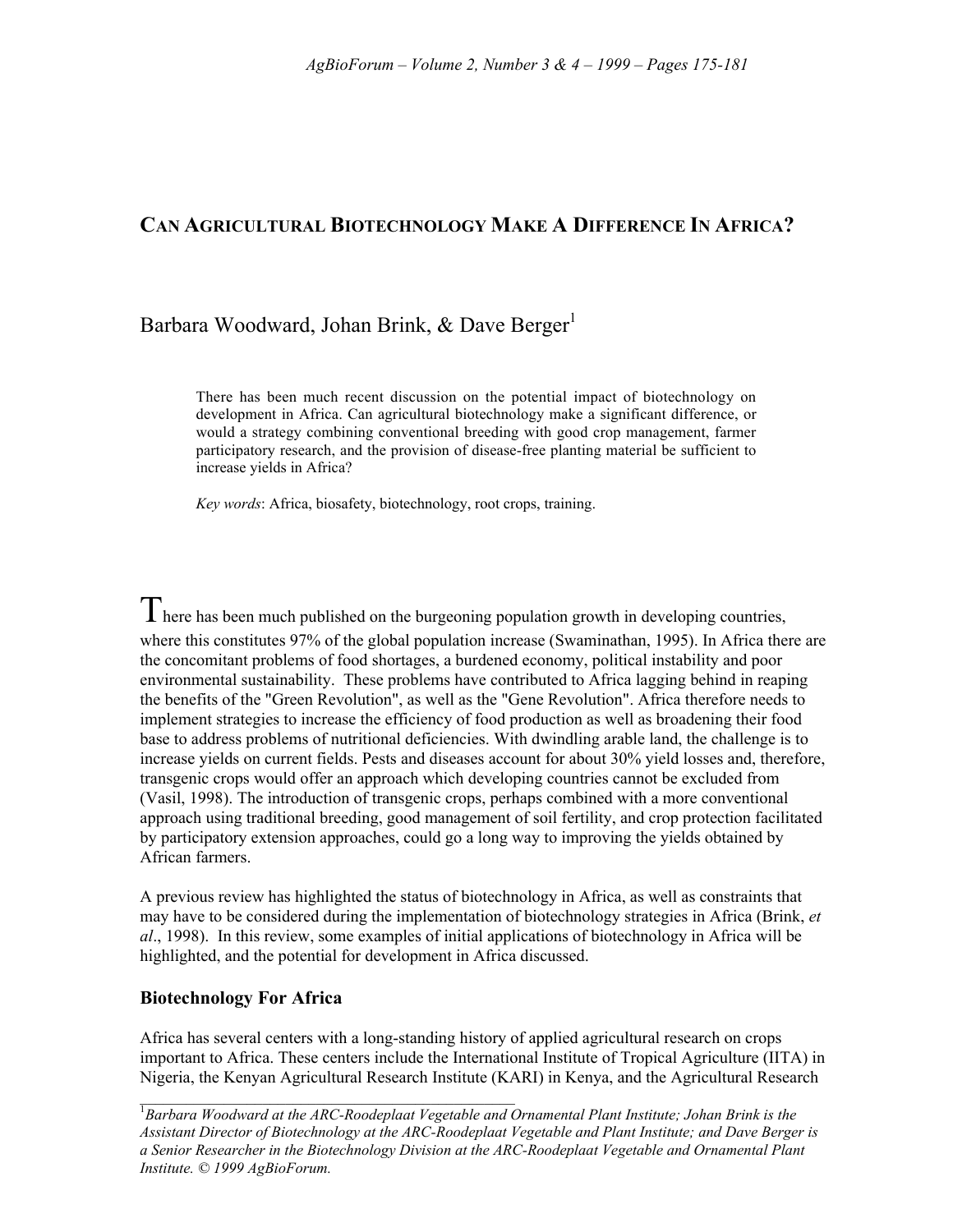# **CAN AGRICULTURAL BIOTECHNOLOGY MAKE A DIFFERENCE IN AFRICA?**

# Barbara Woodward, Johan Brink, & Dave Berger<sup>1</sup>

There has been much recent discussion on the potential impact of biotechnology on development in Africa. Can agricultural biotechnology make a significant difference, or would a strategy combining conventional breeding with good crop management, farmer participatory research, and the provision of disease-free planting material be sufficient to increase yields in Africa?

*Key words*: Africa, biosafety, biotechnology, root crops, training.

There has been much published on the burgeoning population growth in developing countries, where this constitutes 97% of the global population increase (Swaminathan, 1995). In Africa there are the concomitant problems of food shortages, a burdened economy, political instability and poor environmental sustainability. These problems have contributed to Africa lagging behind in reaping the benefits of the "Green Revolution", as well as the "Gene Revolution". Africa therefore needs to implement strategies to increase the efficiency of food production as well as broadening their food base to address problems of nutritional deficiencies. With dwindling arable land, the challenge is to increase yields on current fields. Pests and diseases account for about 30% yield losses and, therefore, transgenic crops would offer an approach which developing countries cannot be excluded from (Vasil, 1998). The introduction of transgenic crops, perhaps combined with a more conventional approach using traditional breeding, good management of soil fertility, and crop protection facilitated by participatory extension approaches, could go a long way to improving the yields obtained by African farmers.

A previous review has highlighted the status of biotechnology in Africa, as well as constraints that may have to be considered during the implementation of biotechnology strategies in Africa (Brink, *et al*., 1998). In this review, some examples of initial applications of biotechnology in Africa will be highlighted, and the potential for development in Africa discussed.

#### **Biotechnology For Africa**

Africa has several centers with a long-standing history of applied agricultural research on crops important to Africa. These centers include the International Institute of Tropical Agriculture (IITA) in Nigeria, the Kenyan Agricultural Research Institute (KARI) in Kenya, and the Agricultural Research

1 *Barbara Woodward at the ARC-Roodeplaat Vegetable and Ornamental Plant Institute; Johan Brink is the Assistant Director of Biotechnology at the ARC-Roodeplaat Vegetable and Plant Institute; and Dave Berger is a Senior Researcher in the Biotechnology Division at the ARC-Roodeplaat Vegetable and Ornamental Plant Institute. © 1999 AgBioForum.*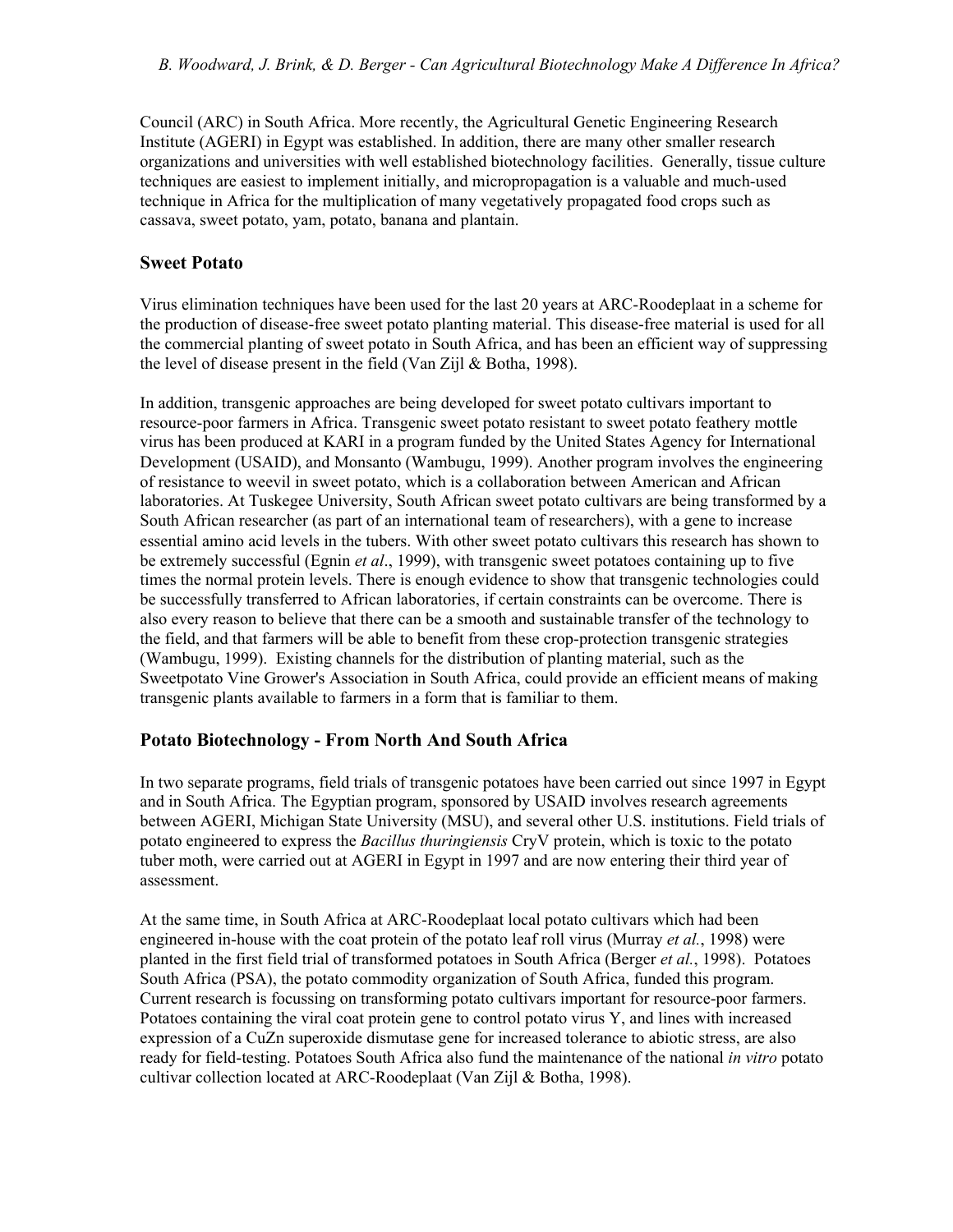Council (ARC) in South Africa. More recently, the Agricultural Genetic Engineering Research Institute (AGERI) in Egypt was established. In addition, there are many other smaller research organizations and universities with well established biotechnology facilities. Generally, tissue culture techniques are easiest to implement initially, and micropropagation is a valuable and much-used technique in Africa for the multiplication of many vegetatively propagated food crops such as cassava, sweet potato, yam, potato, banana and plantain.

#### **Sweet Potato**

Virus elimination techniques have been used for the last 20 years at ARC-Roodeplaat in a scheme for the production of disease-free sweet potato planting material. This disease-free material is used for all the commercial planting of sweet potato in South Africa, and has been an efficient way of suppressing the level of disease present in the field (Van Zijl & Botha, 1998).

In addition, transgenic approaches are being developed for sweet potato cultivars important to resource-poor farmers in Africa. Transgenic sweet potato resistant to sweet potato feathery mottle virus has been produced at KARI in a program funded by the United States Agency for International Development (USAID), and Monsanto (Wambugu, 1999). Another program involves the engineering of resistance to weevil in sweet potato, which is a collaboration between American and African laboratories. At Tuskegee University, South African sweet potato cultivars are being transformed by a South African researcher (as part of an international team of researchers), with a gene to increase essential amino acid levels in the tubers. With other sweet potato cultivars this research has shown to be extremely successful (Egnin *et al*., 1999), with transgenic sweet potatoes containing up to five times the normal protein levels. There is enough evidence to show that transgenic technologies could be successfully transferred to African laboratories, if certain constraints can be overcome. There is also every reason to believe that there can be a smooth and sustainable transfer of the technology to the field, and that farmers will be able to benefit from these crop-protection transgenic strategies (Wambugu, 1999). Existing channels for the distribution of planting material, such as the Sweetpotato Vine Grower's Association in South Africa, could provide an efficient means of making transgenic plants available to farmers in a form that is familiar to them.

#### **Potato Biotechnology - From North And South Africa**

In two separate programs, field trials of transgenic potatoes have been carried out since 1997 in Egypt and in South Africa. The Egyptian program, sponsored by USAID involves research agreements between AGERI, Michigan State University (MSU), and several other U.S. institutions. Field trials of potato engineered to express the *Bacillus thuringiensis* CryV protein, which is toxic to the potato tuber moth, were carried out at AGERI in Egypt in 1997 and are now entering their third year of assessment.

At the same time, in South Africa at ARC-Roodeplaat local potato cultivars which had been engineered in-house with the coat protein of the potato leaf roll virus (Murray *et al.*, 1998) were planted in the first field trial of transformed potatoes in South Africa (Berger *et al.*, 1998). Potatoes South Africa (PSA), the potato commodity organization of South Africa, funded this program. Current research is focussing on transforming potato cultivars important for resource-poor farmers. Potatoes containing the viral coat protein gene to control potato virus Y, and lines with increased expression of a CuZn superoxide dismutase gene for increased tolerance to abiotic stress, are also ready for field-testing. Potatoes South Africa also fund the maintenance of the national *in vitro* potato cultivar collection located at ARC-Roodeplaat (Van Zijl & Botha, 1998).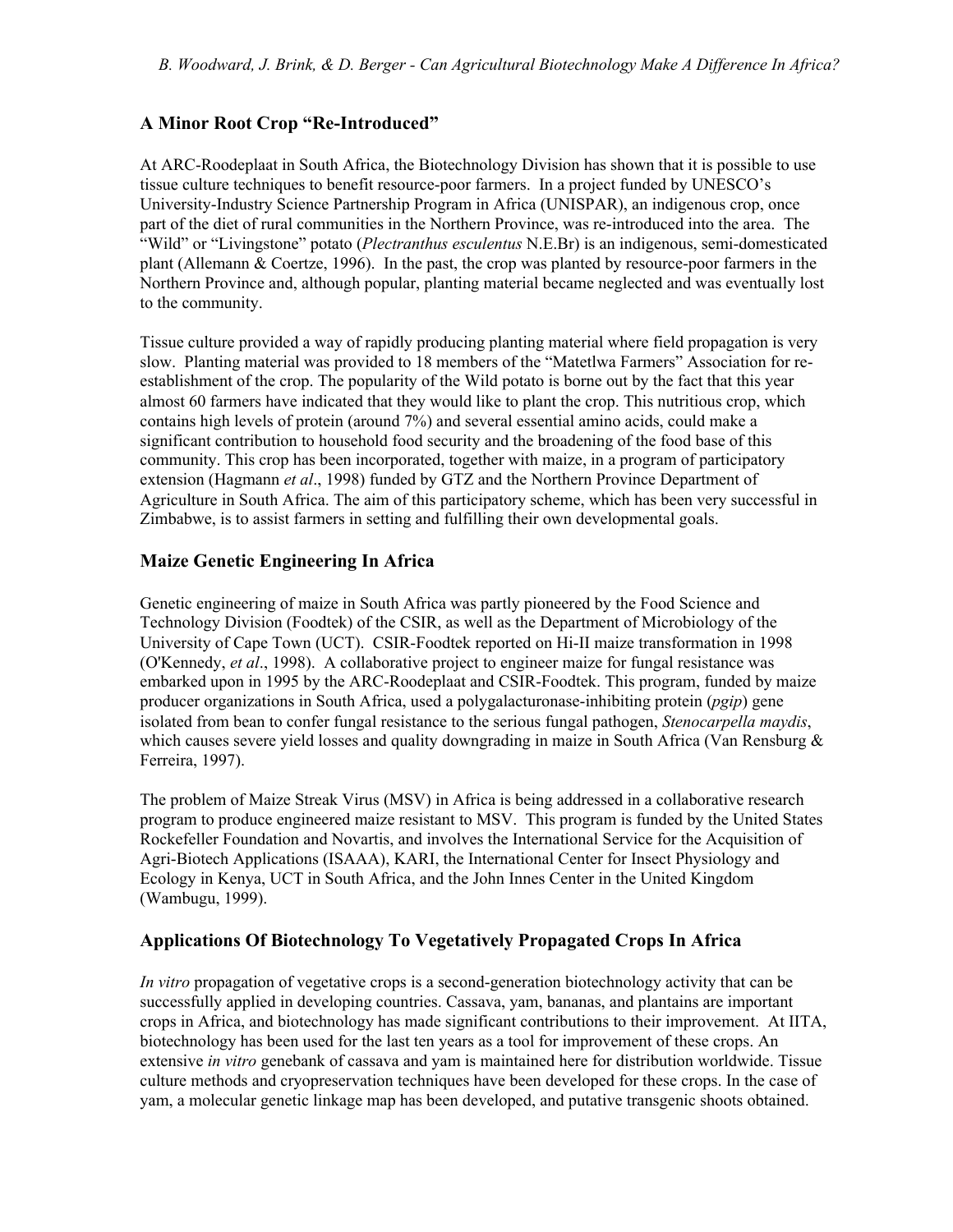## **A Minor Root Crop "Re-Introduced"**

At ARC-Roodeplaat in South Africa, the Biotechnology Division has shown that it is possible to use tissue culture techniques to benefit resource-poor farmers. In a project funded by UNESCO's University-Industry Science Partnership Program in Africa (UNISPAR), an indigenous crop, once part of the diet of rural communities in the Northern Province, was re-introduced into the area. The "Wild" or "Livingstone" potato (*Plectranthus esculentus* N.E.Br) is an indigenous, semi-domesticated plant (Allemann & Coertze, 1996). In the past, the crop was planted by resource-poor farmers in the Northern Province and, although popular, planting material became neglected and was eventually lost to the community.

Tissue culture provided a way of rapidly producing planting material where field propagation is very slow. Planting material was provided to 18 members of the "Matetlwa Farmers" Association for reestablishment of the crop. The popularity of the Wild potato is borne out by the fact that this year almost 60 farmers have indicated that they would like to plant the crop. This nutritious crop, which contains high levels of protein (around 7%) and several essential amino acids, could make a significant contribution to household food security and the broadening of the food base of this community. This crop has been incorporated, together with maize, in a program of participatory extension (Hagmann *et al*., 1998) funded by GTZ and the Northern Province Department of Agriculture in South Africa. The aim of this participatory scheme, which has been very successful in Zimbabwe, is to assist farmers in setting and fulfilling their own developmental goals.

## **Maize Genetic Engineering In Africa**

Genetic engineering of maize in South Africa was partly pioneered by the Food Science and Technology Division (Foodtek) of the CSIR, as well as the Department of Microbiology of the University of Cape Town (UCT). CSIR-Foodtek reported on Hi-II maize transformation in 1998 (O'Kennedy, *et al*., 1998). A collaborative project to engineer maize for fungal resistance was embarked upon in 1995 by the ARC-Roodeplaat and CSIR-Foodtek. This program, funded by maize producer organizations in South Africa, used a polygalacturonase-inhibiting protein (*pgip*) gene isolated from bean to confer fungal resistance to the serious fungal pathogen, *Stenocarpella maydis*, which causes severe yield losses and quality downgrading in maize in South Africa (Van Rensburg  $\&$ Ferreira, 1997).

The problem of Maize Streak Virus (MSV) in Africa is being addressed in a collaborative research program to produce engineered maize resistant to MSV. This program is funded by the United States Rockefeller Foundation and Novartis, and involves the International Service for the Acquisition of Agri-Biotech Applications (ISAAA), KARI, the International Center for Insect Physiology and Ecology in Kenya, UCT in South Africa, and the John Innes Center in the United Kingdom (Wambugu, 1999).

## **Applications Of Biotechnology To Vegetatively Propagated Crops In Africa**

*In vitro* propagation of vegetative crops is a second-generation biotechnology activity that can be successfully applied in developing countries. Cassava, yam, bananas, and plantains are important crops in Africa, and biotechnology has made significant contributions to their improvement. At IITA, biotechnology has been used for the last ten years as a tool for improvement of these crops. An extensive *in vitro* genebank of cassava and yam is maintained here for distribution worldwide. Tissue culture methods and cryopreservation techniques have been developed for these crops. In the case of yam, a molecular genetic linkage map has been developed, and putative transgenic shoots obtained.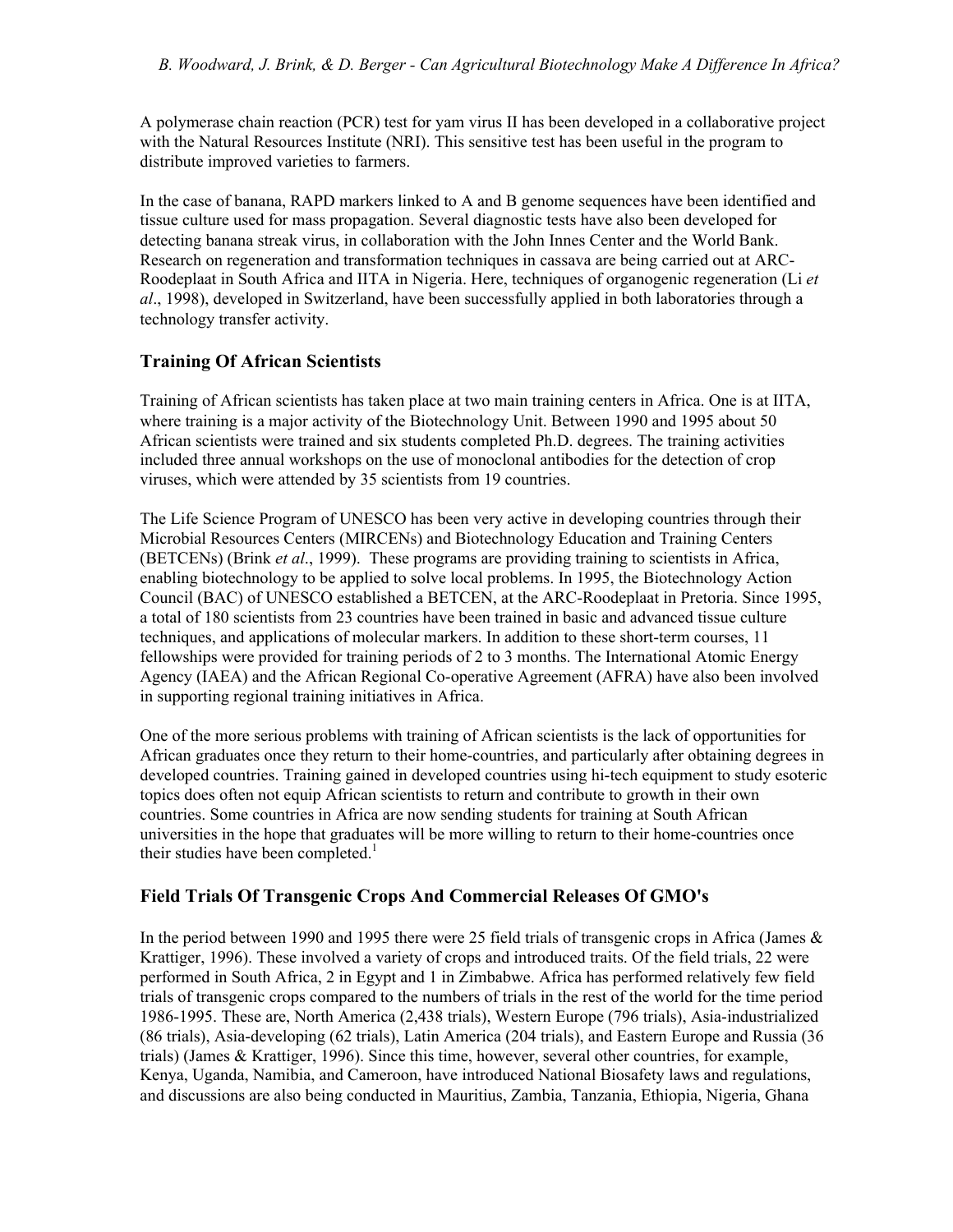A polymerase chain reaction (PCR) test for yam virus II has been developed in a collaborative project with the Natural Resources Institute (NRI). This sensitive test has been useful in the program to distribute improved varieties to farmers.

In the case of banana, RAPD markers linked to A and B genome sequences have been identified and tissue culture used for mass propagation. Several diagnostic tests have also been developed for detecting banana streak virus, in collaboration with the John Innes Center and the World Bank. Research on regeneration and transformation techniques in cassava are being carried out at ARC-Roodeplaat in South Africa and IITA in Nigeria. Here, techniques of organogenic regeneration (Li *et al*., 1998), developed in Switzerland, have been successfully applied in both laboratories through a technology transfer activity.

## **Training Of African Scientists**

Training of African scientists has taken place at two main training centers in Africa. One is at IITA, where training is a major activity of the Biotechnology Unit. Between 1990 and 1995 about 50 African scientists were trained and six students completed Ph.D. degrees. The training activities included three annual workshops on the use of monoclonal antibodies for the detection of crop viruses, which were attended by 35 scientists from 19 countries.

The Life Science Program of UNESCO has been very active in developing countries through their Microbial Resources Centers (MIRCENs) and Biotechnology Education and Training Centers (BETCENs) (Brink *et al*., 1999). These programs are providing training to scientists in Africa, enabling biotechnology to be applied to solve local problems. In 1995, the Biotechnology Action Council (BAC) of UNESCO established a BETCEN, at the ARC-Roodeplaat in Pretoria. Since 1995, a total of 180 scientists from 23 countries have been trained in basic and advanced tissue culture techniques, and applications of molecular markers. In addition to these short-term courses, 11 fellowships were provided for training periods of 2 to 3 months. The International Atomic Energy Agency (IAEA) and the African Regional Co-operative Agreement (AFRA) have also been involved in supporting regional training initiatives in Africa.

One of the more serious problems with training of African scientists is the lack of opportunities for African graduates once they return to their home-countries, and particularly after obtaining degrees in developed countries. Training gained in developed countries using hi-tech equipment to study esoteric topics does often not equip African scientists to return and contribute to growth in their own countries. Some countries in Africa are now sending students for training at South African universities in the hope that graduates will be more willing to return to their home-countries once their studies have been completed.<sup>1</sup>

## **Field Trials Of Transgenic Crops And Commercial Releases Of GMO's**

In the period between 1990 and 1995 there were 25 field trials of transgenic crops in Africa (James & Krattiger, 1996). These involved a variety of crops and introduced traits. Of the field trials, 22 were performed in South Africa, 2 in Egypt and 1 in Zimbabwe. Africa has performed relatively few field trials of transgenic crops compared to the numbers of trials in the rest of the world for the time period 1986-1995. These are, North America (2,438 trials), Western Europe (796 trials), Asia-industrialized (86 trials), Asia-developing (62 trials), Latin America (204 trials), and Eastern Europe and Russia (36 trials) (James & Krattiger, 1996). Since this time, however, several other countries, for example, Kenya, Uganda, Namibia, and Cameroon, have introduced National Biosafety laws and regulations, and discussions are also being conducted in Mauritius, Zambia, Tanzania, Ethiopia, Nigeria, Ghana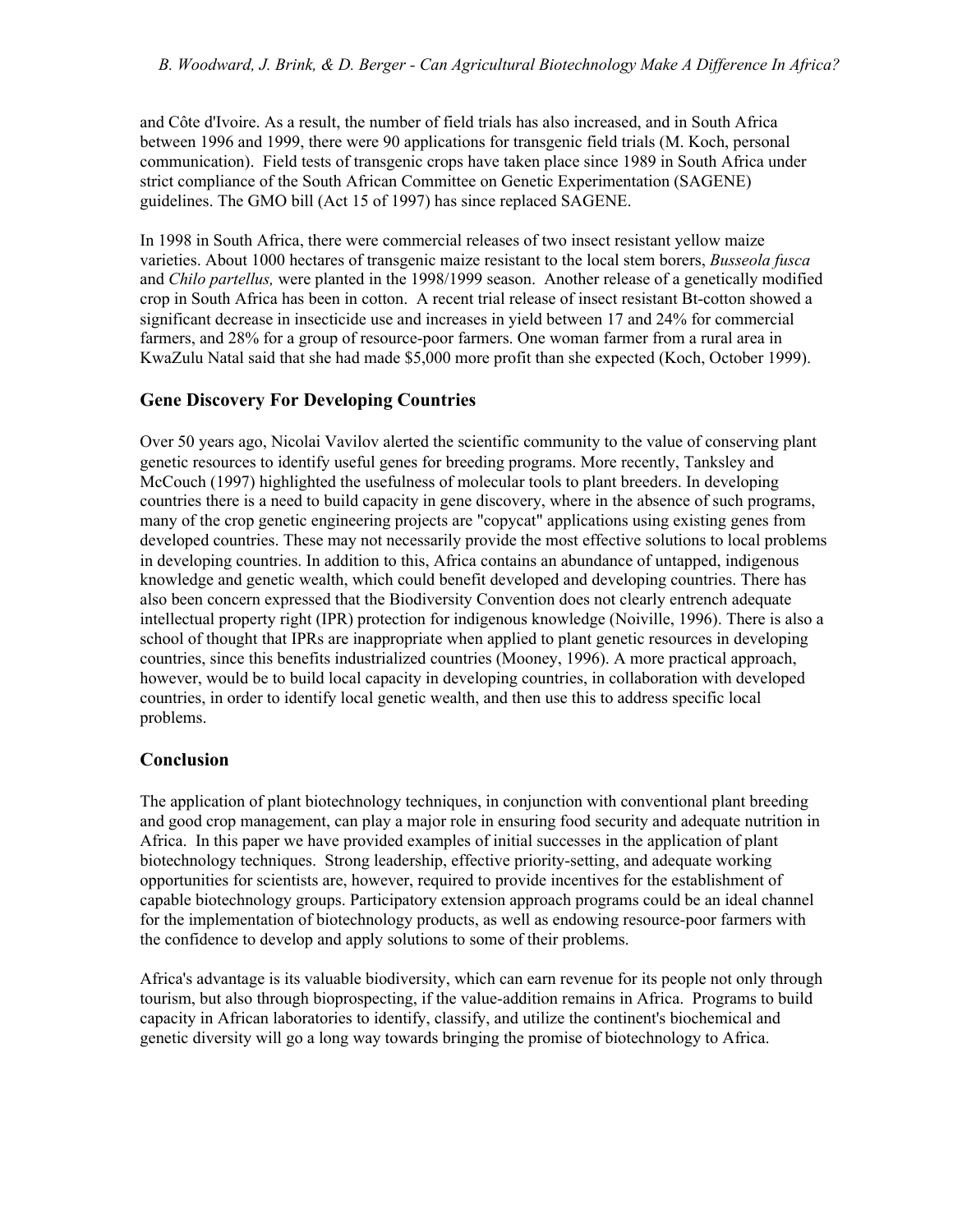and Côte d'Ivoire. As a result, the number of field trials has also increased, and in South Africa between 1996 and 1999, there were 90 applications for transgenic field trials (M. Koch, personal communication). Field tests of transgenic crops have taken place since 1989 in South Africa under strict compliance of the South African Committee on Genetic Experimentation (SAGENE) guidelines. The GMO bill (Act 15 of 1997) has since replaced SAGENE.

In 1998 in South Africa, there were commercial releases of two insect resistant yellow maize varieties. About 1000 hectares of transgenic maize resistant to the local stem borers, *Busseola fusca* and *Chilo partellus,* were planted in the 1998/1999 season. Another release of a genetically modified crop in South Africa has been in cotton. A recent trial release of insect resistant Bt-cotton showed a significant decrease in insecticide use and increases in yield between 17 and 24% for commercial farmers, and 28% for a group of resource-poor farmers. One woman farmer from a rural area in KwaZulu Natal said that she had made \$5,000 more profit than she expected (Koch, October 1999).

## **Gene Discovery For Developing Countries**

Over 50 years ago, Nicolai Vavilov alerted the scientific community to the value of conserving plant genetic resources to identify useful genes for breeding programs. More recently, Tanksley and McCouch (1997) highlighted the usefulness of molecular tools to plant breeders. In developing countries there is a need to build capacity in gene discovery, where in the absence of such programs, many of the crop genetic engineering projects are "copycat" applications using existing genes from developed countries. These may not necessarily provide the most effective solutions to local problems in developing countries. In addition to this, Africa contains an abundance of untapped, indigenous knowledge and genetic wealth, which could benefit developed and developing countries. There has also been concern expressed that the Biodiversity Convention does not clearly entrench adequate intellectual property right (IPR) protection for indigenous knowledge (Noiville, 1996). There is also a school of thought that IPRs are inappropriate when applied to plant genetic resources in developing countries, since this benefits industrialized countries (Mooney, 1996). A more practical approach, however, would be to build local capacity in developing countries, in collaboration with developed countries, in order to identify local genetic wealth, and then use this to address specific local problems.

## **Conclusion**

The application of plant biotechnology techniques, in conjunction with conventional plant breeding and good crop management, can play a major role in ensuring food security and adequate nutrition in Africa. In this paper we have provided examples of initial successes in the application of plant biotechnology techniques. Strong leadership, effective priority-setting, and adequate working opportunities for scientists are, however, required to provide incentives for the establishment of capable biotechnology groups. Participatory extension approach programs could be an ideal channel for the implementation of biotechnology products, as well as endowing resource-poor farmers with the confidence to develop and apply solutions to some of their problems.

Africa's advantage is its valuable biodiversity, which can earn revenue for its people not only through tourism, but also through bioprospecting, if the value-addition remains in Africa. Programs to build capacity in African laboratories to identify, classify, and utilize the continent's biochemical and genetic diversity will go a long way towards bringing the promise of biotechnology to Africa.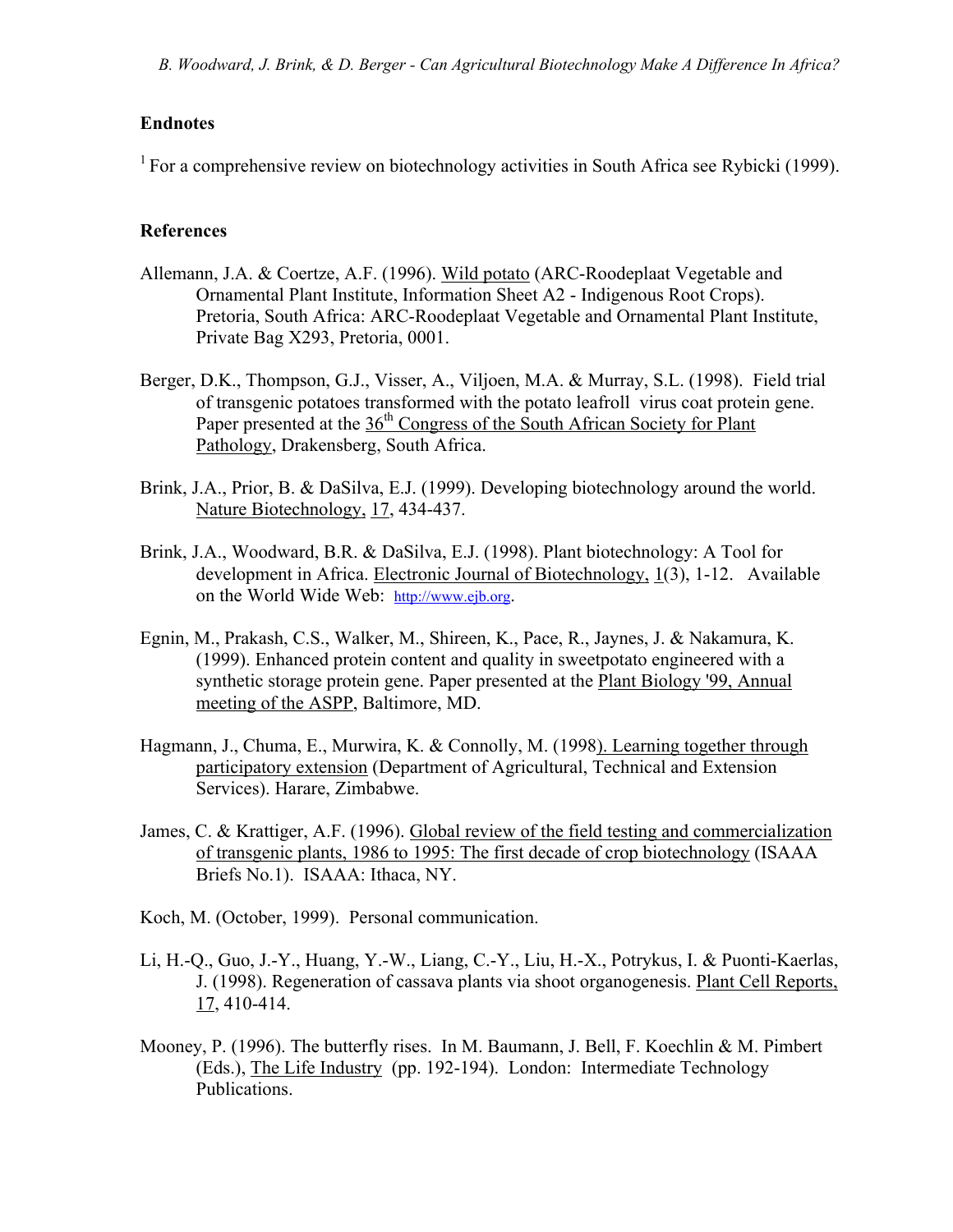#### **Endnotes**

 $1$  For a comprehensive review on biotechnology activities in South Africa see Rybicki (1999).

#### **References**

- Allemann, J.A. & Coertze, A.F. (1996). Wild potato (ARC-Roodeplaat Vegetable and Ornamental Plant Institute, Information Sheet A2 - Indigenous Root Crops). Pretoria, South Africa: ARC-Roodeplaat Vegetable and Ornamental Plant Institute, Private Bag X293, Pretoria, 0001.
- Berger, D.K., Thompson, G.J., Visser, A., Viljoen, M.A. & Murray, S.L. (1998). Field trial of transgenic potatoes transformed with the potato leafroll virus coat protein gene. Paper presented at the  $36<sup>th</sup>$  Congress of the South African Society for Plant Pathology, Drakensberg, South Africa.
- Brink, J.A., Prior, B. & DaSilva, E.J. (1999). Developing biotechnology around the world. Nature Biotechnology, 17, 434-437.
- Brink, J.A., Woodward, B.R. & DaSilva, E.J. (1998). Plant biotechnology: A Tool for development in Africa. Electronic Journal of Biotechnology, 1(3), 1-12. Available on the World Wide Web: http://www.ejb.org.
- Egnin, M., Prakash, C.S., Walker, M., Shireen, K., Pace, R., Jaynes, J. & Nakamura, K. (1999). Enhanced protein content and quality in sweetpotato engineered with a synthetic storage protein gene. Paper presented at the Plant Biology '99, Annual meeting of the ASPP, Baltimore, MD.
- Hagmann, J., Chuma, E., Murwira, K. & Connolly, M. (1998). Learning together through participatory extension (Department of Agricultural, Technical and Extension Services). Harare, Zimbabwe.
- James, C. & Krattiger, A.F. (1996). Global review of the field testing and commercialization of transgenic plants, 1986 to 1995: The first decade of crop biotechnology (ISAAA Briefs No.1). ISAAA: Ithaca, NY.
- Koch, M. (October, 1999). Personal communication.
- Li, H.-Q., Guo, J.-Y., Huang, Y.-W., Liang, C.-Y., Liu, H.-X., Potrykus, I. & Puonti-Kaerlas, J. (1998). Regeneration of cassava plants via shoot organogenesis. Plant Cell Reports, 17, 410-414.
- Mooney, P. (1996). The butterfly rises. In M. Baumann, J. Bell, F. Koechlin & M. Pimbert (Eds.), The Life Industry (pp. 192-194). London: Intermediate Technology Publications.